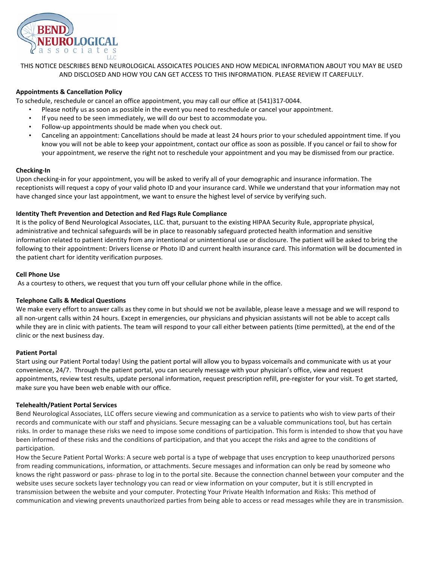

THIS NOTICE DESCRIBES BEND NEUROLOGICAL ASSOICATES POLICIES AND HOW MEDICAL INFORMATION ABOUT YOU MAY BE USED AND DISCLOSED AND HOW YOU CAN GET ACCESS TO THIS INFORMATION. PLEASE REVIEW IT CAREFULLY.

# **Appointments & Cancellation Policy**

To schedule, reschedule or cancel an office appointment, you may call our office at (541)317-0044.

- Please notify us as soon as possible in the event you need to reschedule or cancel your appointment.
- If you need to be seen immediately, we will do our best to accommodate you.
- Follow-up appointments should be made when you check out.
- Canceling an appointment: Cancellations should be made at least 24 hours prior to your scheduled appointment time. If you know you will not be able to keep your appointment, contact our office as soon as possible. If you cancel or fail to show for your appointment, we reserve the right not to reschedule your appointment and you may be dismissed from our practice.

## **Checking-In**

Upon checking-in for your appointment, you will be asked to verify all of your demographic and insurance information. The receptionists will request a copy of your valid photo ID and your insurance card. While we understand that your information may not have changed since your last appointment, we want to ensure the highest level of service by verifying such.

# **Identity Theft Prevention and Detection and Red Flags Rule Compliance**

It is the policy of Bend Neurological Associates, LLC. that, pursuant to the existing HIPAA Security Rule, appropriate physical, administrative and technical safeguards will be in place to reasonably safeguard protected health information and sensitive information related to patient identity from any intentional or unintentional use or disclosure. The patient will be asked to bring the following to their appointment: Drivers license or Photo ID and current health insurance card. This information will be documented in the patient chart for identity verification purposes.

# **Cell Phone Use**

As a courtesy to others, we request that you turn off your cellular phone while in the office.

# **Telephone Calls & Medical Questions**

We make every effort to answer calls as they come in but should we not be available, please leave a message and we will respond to all non-urgent calls within 24 hours. Except in emergencies, our physicians and physician assistants will not be able to accept calls while they are in clinic with patients. The team will respond to your call either between patients (time permitted), at the end of the clinic or the next business day.

### **Patient Portal**

Start using our Patient Portal today! Using the patient portal will allow you to bypass voicemails and communicate with us at your convenience, 24/7. Through the patient portal, you can securely message with your physician's office, view and request appointments, review test results, update personal information, request prescription refill, pre-register for your visit. To get started, make sure you have been web enable with our office.

### **Telehealth/Patient Portal Services**

Bend Neurological Associates, LLC offers secure viewing and communication as a service to patients who wish to view parts of their records and communicate with our staff and physicians. Secure messaging can be a valuable communications tool, but has certain risks. In order to manage these risks we need to impose some conditions of participation. This form is intended to show that you have been informed of these risks and the conditions of participation, and that you accept the risks and agree to the conditions of participation.

How the Secure Patient Portal Works: A secure web portal is a type of webpage that uses encryption to keep unauthorized persons from reading communications, information, or attachments. Secure messages and information can only be read by someone who knows the right password or pass- phrase to log in to the portal site. Because the connection channel between your computer and the website uses secure sockets layer technology you can read or view information on your computer, but it is still encrypted in transmission between the website and your computer. Protecting Your Private Health Information and Risks: This method of communication and viewing prevents unauthorized parties from being able to access or read messages while they are in transmission.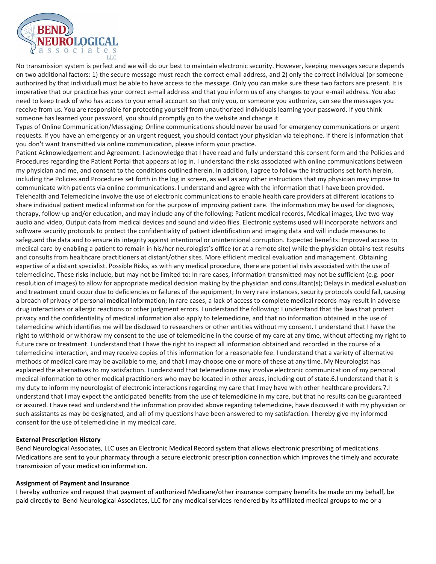

No transmission system is perfect and we will do our best to maintain electronic security. However, keeping messages secure depends on two additional factors: 1) the secure message must reach the correct email address, and 2) only the correct individual (or someone authorized by that individual) must be able to have access to the message. Only you can make sure these two factors are present. It is imperative that our practice has your correct e-mail address and that you inform us of any changes to your e-mail address. You also need to keep track of who has access to your email account so that only you, or someone you authorize, can see the messages you receive from us. You are responsible for protecting yourself from unauthorized individuals learning your password. If you think someone has learned your password, you should promptly go to the website and change it.

Types of Online Communication/Messaging: Online communications should never be used for emergency communications or urgent requests. If you have an emergency or an urgent request, you should contact your physician via telephone. If there is information that you don't want transmitted via online communication, please inform your practice.

Patient Acknowledgement and Agreement: I acknowledge that I have read and fully understand this consent form and the Policies and Procedures regarding the Patient Portal that appears at log in. I understand the risks associated with online communications between my physician and me, and consent to the conditions outlined herein. In addition, I agree to follow the instructions set forth herein, including the Policies and Procedures set forth in the log in screen, as well as any other instructions that my physician may impose to communicate with patients via online communications. I understand and agree with the information that I have been provided. Telehealth and Telemedicine involve the use of electronic communications to enable health care providers at different locations to share individual patient medical information for the purpose of improving patient care. The information may be used for diagnosis, therapy, follow-up and/or education, and may include any of the following: Patient medical records, Medical images, Live two-way audio and video, Output data from medical devices and sound and video files. Electronic systems used will incorporate network and software security protocols to protect the confidentiality of patient identification and imaging data and will include measures to safeguard the data and to ensure its integrity against intentional or unintentional corruption. Expected benefits: Improved access to medical care by enabling a patient to remain in his/her neurologist's office (or at a remote site) while the physician obtains test results and consults from healthcare practitioners at distant/other sites. More efficient medical evaluation and management. Obtaining expertise of a distant specialist. Possible Risks, as with any medical procedure, there are potential risks associated with the use of telemedicine. These risks include, but may not be limited to: In rare cases, information transmitted may not be sufficient (e.g. poor resolution of images) to allow for appropriate medical decision making by the physician and consultant(s); Delays in medical evaluation and treatment could occur due to deficiencies or failures of the equipment; In very rare instances, security protocols could fail, causing a breach of privacy of personal medical information; In rare cases, a lack of access to complete medical records may result in adverse drug interactions or allergic reactions or other judgment errors. I understand the following: I understand that the laws that protect privacy and the confidentiality of medical information also apply to telemedicine, and that no information obtained in the use of telemedicine which identifies me will be disclosed to researchers or other entities without my consent. I understand that I have the right to withhold or withdraw my consent to the use of telemedicine in the course of my care at any time, without affecting my right to future care or treatment. I understand that I have the right to inspect all information obtained and recorded in the course of a telemedicine interaction, and may receive copies of this information for a reasonable fee. I understand that a variety of alternative methods of medical care may be available to me, and that I may choose one or more of these at any time. My Neurologist has explained the alternatives to my satisfaction. I understand that telemedicine may involve electronic communication of my personal medical information to other medical practitioners who may be located in other areas, including out of state.6.I understand that it is my duty to inform my neurologist of electronic interactions regarding my care that I may have with other healthcare providers.7.I understand that I may expect the anticipated benefits from the use of telemedicine in my care, but that no results can be guaranteed or assured. I have read and understand the information provided above regarding telemedicine, have discussed it with my physician or such assistants as may be designated, and all of my questions have been answered to my satisfaction. I hereby give my informed consent for the use of telemedicine in my medical care.

### **External Prescription History**

Bend Neurological Associates, LLC uses an Electronic Medical Record system that allows electronic prescribing of medications. Medications are sent to your pharmacy through a secure electronic prescription connection which improves the timely and accurate transmission of your medication information.

### **Assignment of Payment and Insurance**

I hereby authorize and request that payment of authorized Medicare/other insurance company benefits be made on my behalf, be paid directly to Bend Neurological Associates, LLC for any medical services rendered by its affiliated medical groups to me or a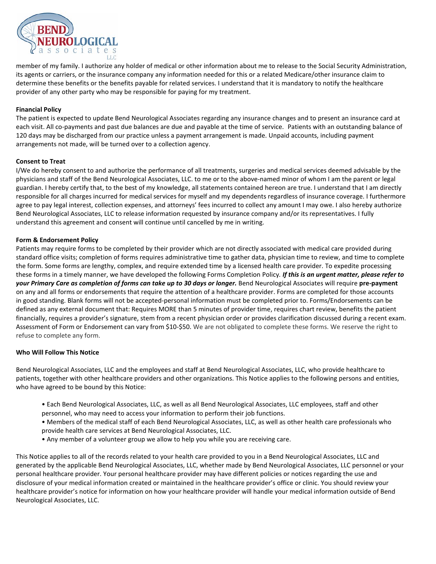

member of my family. I authorize any holder of medical or other information about me to release to the Social Security Administration, its agents or carriers, or the insurance company any information needed for this or a related Medicare/other insurance claim to determine these benefits or the benefits payable for related services. I understand that it is mandatory to notify the healthcare provider of any other party who may be responsible for paying for my treatment.

## **Financial Policy**

The patient is expected to update Bend Neurological Associates regarding any insurance changes and to present an insurance card at each visit. All co-payments and past due balances are due and payable at the time of service. Patients with an outstanding balance of 120 days may be discharged from our practice unless a payment arrangement is made. Unpaid accounts, including payment arrangements not made, will be turned over to a collection agency.

### **Consent to Treat**

I/We do hereby consent to and authorize the performance of all treatments, surgeries and medical services deemed advisable by the physicians and staff of the Bend Neurological Associates, LLC. to me or to the above-named minor of whom I am the parent or legal guardian. I hereby certify that, to the best of my knowledge, all statements contained hereon are true. I understand that I am directly responsible for all charges incurred for medical services for myself and my dependents regardless of insurance coverage. I furthermore agree to pay legal interest, collection expenses, and attorneys' fees incurred to collect any amount I may owe. I also hereby authorize Bend Neurological Associates, LLC to release information requested by insurance company and/or its representatives. I fully understand this agreement and consent will continue until cancelled by me in writing.

## **Form & Endorsement Policy**

Patients may require forms to be completed by their provider which are not directly associated with medical care provided during standard office visits; completion of forms requires administrative time to gather data, physician time to review, and time to complete the form. Some forms are lengthy, complex, and require extended time by a licensed health care provider. To expedite processing these forms in a timely manner, we have developed the following Forms Completion Policy*. If this is an urgent matter, please refer to your Primary Care as completion of forms can take up to 30 days or longer.* Bend Neurological Associates will require **pre-payment** on any and all forms or endorsements that require the attention of a healthcare provider. Forms are completed for those accounts in good standing. Blank forms will not be accepted-personal information must be completed prior to. Forms/Endorsements can be defined as any external document that: Requires MORE than 5 minutes of provider time, requires chart review, benefits the patient financially, requires a provider's signature, stem from a recent physician order or provides clarification discussed during a recent exam. Assessment of Form or Endorsement can vary from \$10-\$50. We are not obligated to complete these forms. We reserve the right to refuse to complete any form.

## **Who Will Follow This Notice**

Bend Neurological Associates, LLC and the employees and staff at Bend Neurological Associates, LLC, who provide healthcare to patients, together with other healthcare providers and other organizations. This Notice applies to the following persons and entities, who have agreed to be bound by this Notice:

- Each Bend Neurological Associates, LLC, as well as all Bend Neurological Associates, LLC employees, staff and other personnel, who may need to access your information to perform their job functions.
- Members of the medical staff of each Bend Neurological Associates, LLC, as well as other health care professionals who provide health care services at Bend Neurological Associates, LLC.
- Any member of a volunteer group we allow to help you while you are receiving care.

This Notice applies to all of the records related to your health care provided to you in a Bend Neurological Associates, LLC and generated by the applicable Bend Neurological Associates, LLC, whether made by Bend Neurological Associates, LLC personnel or your personal healthcare provider. Your personal healthcare provider may have different policies or notices regarding the use and disclosure of your medical information created or maintained in the healthcare provider's office or clinic. You should review your healthcare provider's notice for information on how your healthcare provider will handle your medical information outside of Bend Neurological Associates, LLC.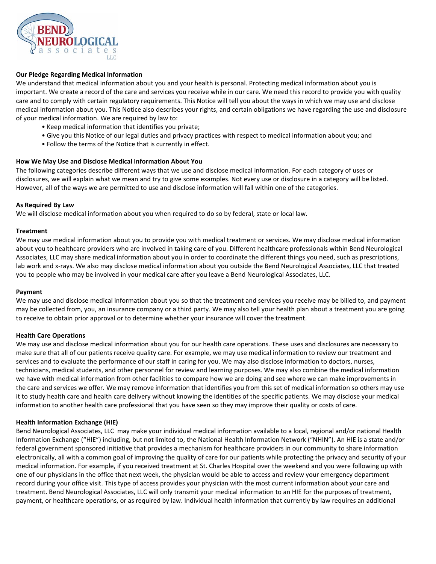

# **Our Pledge Regarding Medical Information**

We understand that medical information about you and your health is personal. Protecting medical information about you is important. We create a record of the care and services you receive while in our care. We need this record to provide you with quality care and to comply with certain regulatory requirements. This Notice will tell you about the ways in which we may use and disclose medical information about you. This Notice also describes your rights, and certain obligations we have regarding the use and disclosure of your medical information. We are required by law to:

- Keep medical information that identifies you private;
- Give you this Notice of our legal duties and privacy practices with respect to medical information about you; and
- Follow the terms of the Notice that is currently in effect.

### **How We May Use and Disclose Medical Information About You**

The following categories describe different ways that we use and disclose medical information. For each category of uses or disclosures, we will explain what we mean and try to give some examples. Not every use or disclosure in a category will be listed. However, all of the ways we are permitted to use and disclose information will fall within one of the categories.

### **As Required By Law**

We will disclose medical information about you when required to do so by federal, state or local law.

### **Treatment**

We may use medical information about you to provide you with medical treatment or services. We may disclose medical information about you to healthcare providers who are involved in taking care of you. Different healthcare professionals within Bend Neurological Associates, LLC may share medical information about you in order to coordinate the different things you need, such as prescriptions, lab work and x-rays. We also may disclose medical information about you outside the Bend Neurological Associates, LLC that treated you to people who may be involved in your medical care after you leave a Bend Neurological Associates, LLC.

### **Payment**

We may use and disclose medical information about you so that the treatment and services you receive may be billed to, and payment may be collected from, you, an insurance company or a third party. We may also tell your health plan about a treatment you are going to receive to obtain prior approval or to determine whether your insurance will cover the treatment.

### **Health Care Operations**

We may use and disclose medical information about you for our health care operations. These uses and disclosures are necessary to make sure that all of our patients receive quality care. For example, we may use medical information to review our treatment and services and to evaluate the performance of our staff in caring for you. We may also disclose information to doctors, nurses, technicians, medical students, and other personnel for review and learning purposes. We may also combine the medical information we have with medical information from other facilities to compare how we are doing and see where we can make improvements in the care and services we offer. We may remove information that identifies you from this set of medical information so others may use it to study health care and health care delivery without knowing the identities of the specific patients. We may disclose your medical information to another health care professional that you have seen so they may improve their quality or costs of care.

### **Health Information Exchange (HIE)**

Bend Neurological Associates, LLC may make your individual medical information available to a local, regional and/or national Health Information Exchange ("HIE") including, but not limited to, the National Health Information Network ("NHIN"). An HIE is a state and/or federal government sponsored initiative that provides a mechanism for healthcare providers in our community to share information electronically, all with a common goal of improving the quality of care for our patients while protecting the privacy and security of your medical information. For example, if you received treatment at St. Charles Hospital over the weekend and you were following up with one of our physicians in the office that next week, the physician would be able to access and review your emergency department record during your office visit. This type of access provides your physician with the most current information about your care and treatment. Bend Neurological Associates, LLC will only transmit your medical information to an HIE for the purposes of treatment, payment, or healthcare operations, or as required by law. Individual health information that currently by law requires an additional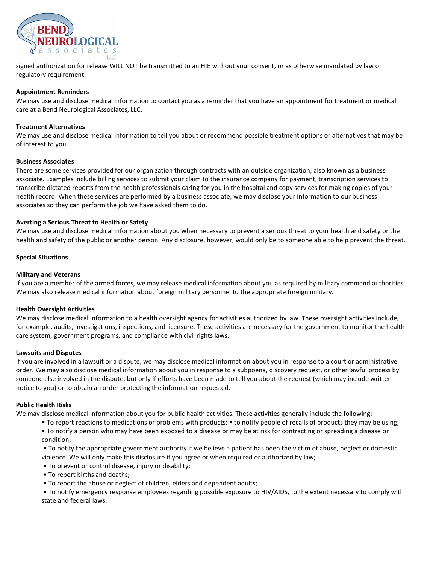

signed authorization for release WILL NOT be transmitted to an HIE without your consent, or as otherwise mandated by law or regulatory requirement.

### **Appointment Reminders**

We may use and disclose medical information to contact you as a reminder that you have an appointment for treatment or medical care at a Bend Neurological Associates, LLC.

#### **Treatment Alternatives**

We may use and disclose medical information to tell you about or recommend possible treatment options or alternatives that may be of interest to you.

#### **Business Associates**

There are some services provided for our organization through contracts with an outside organization, also known as a business associate. Examples include billing services to submit your claim to the insurance company for payment, transcription services to transcribe dictated reports from the health professionals caring for you in the hospital and copy services for making copies of your health record. When these services are performed by a business associate, we may disclose your information to our business associates so they can perform the job we have asked them to do.

#### **Averting a Serious Threat to Health or Safety**

We may use and disclose medical information about you when necessary to prevent a serious threat to your health and safety or the health and safety of the public or another person. Any disclosure, however, would only be to someone able to help prevent the threat.

#### **Special Situations**

#### **Military and Veterans**

If you are a member of the armed forces, we may release medical information about you as required by military command authorities. We may also release medical information about foreign military personnel to the appropriate foreign military.

#### **Health Oversight Activities**

We may disclose medical information to a health oversight agency for activities authorized by law. These oversight activities include, for example, audits, investigations, inspections, and licensure. These activities are necessary for the government to monitor the health care system, government programs, and compliance with civil rights laws.

#### **Lawsuits and Disputes**

If you are involved in a lawsuit or a dispute, we may disclose medical information about you in response to a court or administrative order. We may also disclose medical information about you in response to a subpoena, discovery request, or other lawful process by someone else involved in the dispute, but only if efforts have been made to tell you about the request (which may include written notice to you) or to obtain an order protecting the information requested.

#### **Public Health Risks**

We may disclose medical information about you for public health activities. These activities generally include the following:

- To report reactions to medications or problems with products; to notify people of recalls of products they may be using;
- To notify a person who may have been exposed to a disease or may be at risk for contracting or spreading a disease or condition;

• To notify the appropriate government authority if we believe a patient has been the victim of abuse, neglect or domestic violence. We will only make this disclosure if you agree or when required or authorized by law;

- To prevent or control disease, injury or disability;
- To report births and deaths;
- To report the abuse or neglect of children, elders and dependent adults;

• To notify emergency response employees regarding possible exposure to HIV/AIDS, to the extent necessary to comply with state and federal laws.